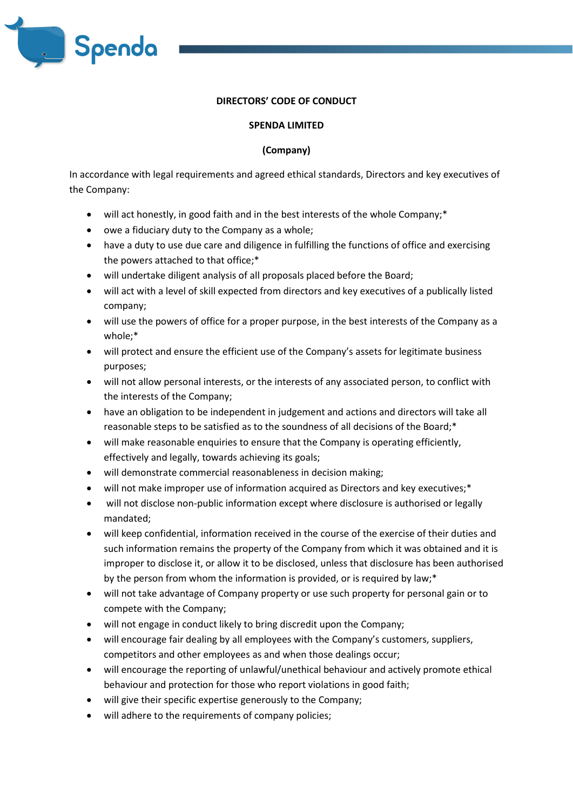

## **DIRECTORS' CODE OF CONDUCT**

## **SPENDA LIMITED**

## **(Company)**

In accordance with legal requirements and agreed ethical standards, Directors and key executives of the Company:

- will act honestly, in good faith and in the best interests of the whole Company;\*
- owe a fiduciary duty to the Company as a whole;
- have a duty to use due care and diligence in fulfilling the functions of office and exercising the powers attached to that office;\*
- will undertake diligent analysis of all proposals placed before the Board;
- will act with a level of skill expected from directors and key executives of a publically listed company;
- will use the powers of office for a proper purpose, in the best interests of the Company as a whole;\*
- will protect and ensure the efficient use of the Company's assets for legitimate business purposes;
- will not allow personal interests, or the interests of any associated person, to conflict with the interests of the Company;
- have an obligation to be independent in judgement and actions and directors will take all reasonable steps to be satisfied as to the soundness of all decisions of the Board;\*
- will make reasonable enquiries to ensure that the Company is operating efficiently, effectively and legally, towards achieving its goals;
- will demonstrate commercial reasonableness in decision making;
- will not make improper use of information acquired as Directors and key executives;\*
- will not disclose non-public information except where disclosure is authorised or legally mandated;
- will keep confidential, information received in the course of the exercise of their duties and such information remains the property of the Company from which it was obtained and it is improper to disclose it, or allow it to be disclosed, unless that disclosure has been authorised by the person from whom the information is provided, or is required by law;\*
- will not take advantage of Company property or use such property for personal gain or to compete with the Company;
- will not engage in conduct likely to bring discredit upon the Company;
- will encourage fair dealing by all employees with the Company's customers, suppliers, competitors and other employees as and when those dealings occur;
- will encourage the reporting of unlawful/unethical behaviour and actively promote ethical behaviour and protection for those who report violations in good faith;
- will give their specific expertise generously to the Company;
- will adhere to the requirements of company policies;